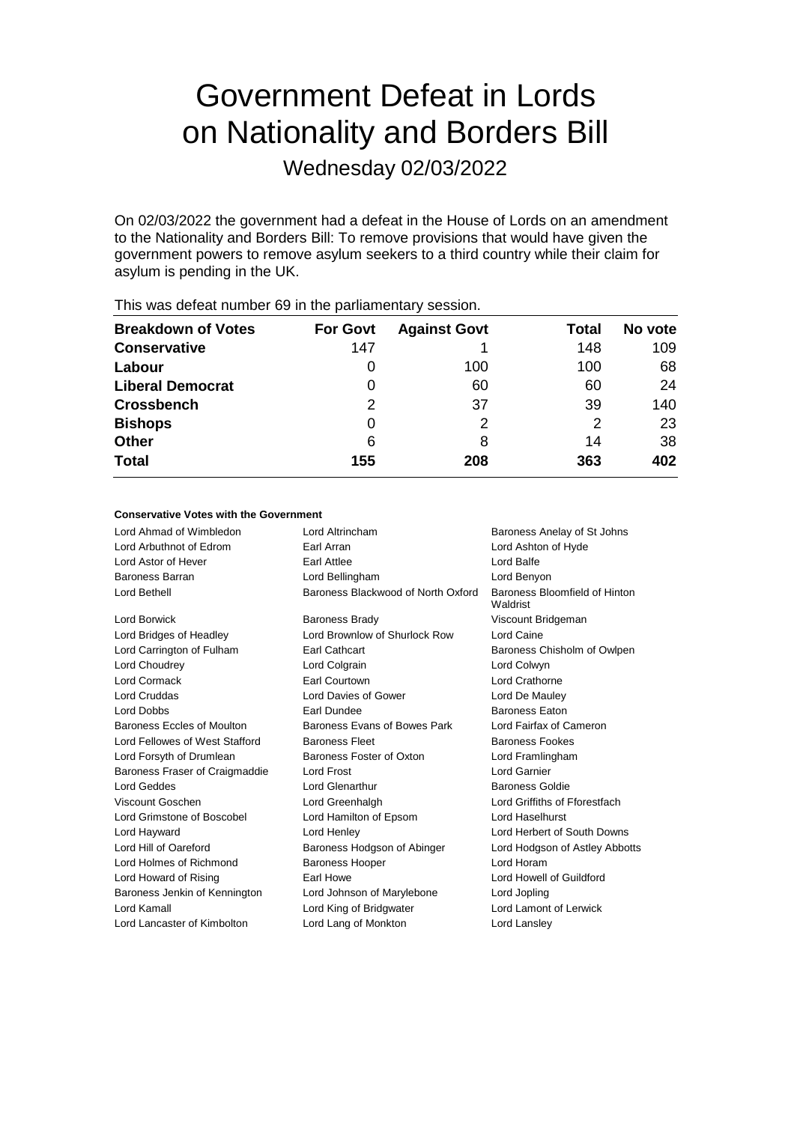# Government Defeat in Lords on Nationality and Borders Bill

Wednesday 02/03/2022

On 02/03/2022 the government had a defeat in the House of Lords on an amendment to the Nationality and Borders Bill: To remove provisions that would have given the government powers to remove asylum seekers to a third country while their claim for asylum is pending in the UK.

| <b>Breakdown of Votes</b> | <b>For Govt</b> | <b>Against Govt</b> | Total | No vote |
|---------------------------|-----------------|---------------------|-------|---------|
| <b>Conservative</b>       | 147             |                     | 148   | 109     |
| Labour                    | 0               | 100                 | 100   | 68      |
| <b>Liberal Democrat</b>   | 0               | 60                  | 60    | 24      |
| <b>Crossbench</b>         | 2               | 37                  | 39    | 140     |
| <b>Bishops</b>            | 0               | 2                   | 2     | 23      |
| <b>Other</b>              | 6               | 8                   | 14    | 38      |
| <b>Total</b>              | 155             | 208                 | 363   | 402     |
|                           |                 |                     |       |         |

This was defeat number 69 in the parliamentary session.

### **Conservative Votes with the Government**

| Lord Ahmad of Wimbledon        | Lord Altrincham                    | Baroness Anelay of St Johns               |
|--------------------------------|------------------------------------|-------------------------------------------|
| Lord Arbuthnot of Edrom        | Earl Arran                         | Lord Ashton of Hyde                       |
| Lord Astor of Hever            | Earl Attlee                        | Lord Balfe                                |
| Baroness Barran                | Lord Bellingham                    | Lord Benyon                               |
| Lord Bethell                   | Baroness Blackwood of North Oxford | Baroness Bloomfield of Hinton<br>Waldrist |
| Lord Borwick                   | <b>Baroness Brady</b>              | Viscount Bridgeman                        |
| Lord Bridges of Headley        | Lord Brownlow of Shurlock Row      | Lord Caine                                |
| Lord Carrington of Fulham      | Earl Cathcart                      | Baroness Chisholm of Owlpen               |
| Lord Choudrey                  | Lord Colgrain                      | Lord Colwyn                               |
| Lord Cormack                   | Earl Courtown                      | Lord Crathorne                            |
| <b>Lord Cruddas</b>            | Lord Davies of Gower               | Lord De Mauley                            |
| <b>Lord Dobbs</b>              | Earl Dundee                        | <b>Baroness Faton</b>                     |
| Baroness Eccles of Moulton     | Baroness Evans of Bowes Park       | Lord Fairfax of Cameron                   |
| Lord Fellowes of West Stafford | <b>Baroness Fleet</b>              | <b>Baroness Fookes</b>                    |
| Lord Forsyth of Drumlean       | Baroness Foster of Oxton           | Lord Framlingham                          |
| Baroness Fraser of Craigmaddie | Lord Frost                         | Lord Garnier                              |
| Lord Geddes                    | Lord Glenarthur                    | Baroness Goldie                           |
| Viscount Goschen               | Lord Greenhalgh                    | Lord Griffiths of Fforestfach             |
| Lord Grimstone of Boscobel     | Lord Hamilton of Epsom             | Lord Haselhurst                           |
| Lord Hayward                   | Lord Henley                        | Lord Herbert of South Downs               |
| Lord Hill of Oareford          | Baroness Hodgson of Abinger        | Lord Hodgson of Astley Abbotts            |
| Lord Holmes of Richmond        | <b>Baroness Hooper</b>             | Lord Horam                                |
| Lord Howard of Rising          | Earl Howe                          | Lord Howell of Guildford                  |
| Baroness Jenkin of Kennington  | Lord Johnson of Marylebone         | Lord Jopling                              |
| Lord Kamall                    | Lord King of Bridgwater            | Lord Lamont of Lerwick                    |
| Lord Lancaster of Kimbolton    | Lord Lang of Monkton               | Lord Lansley                              |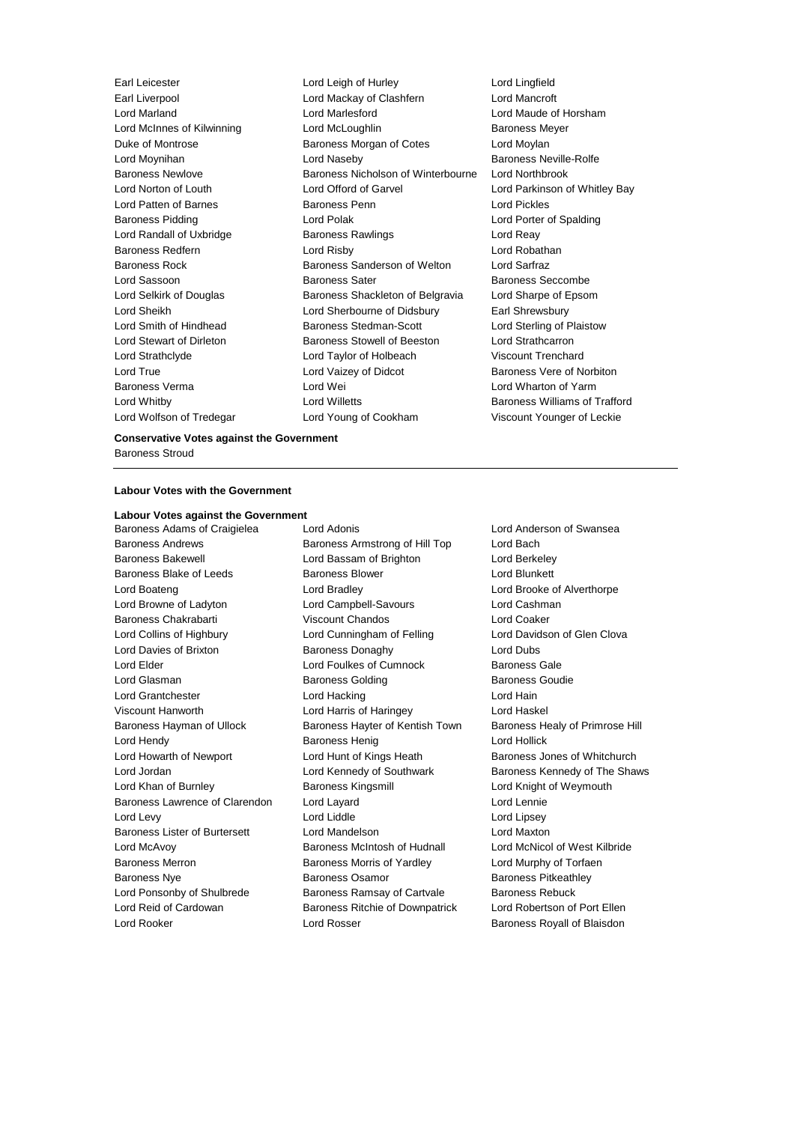Earl Liverpool Lord Mackay of Clashfern Lord Mancroft Lord Marland Lord Marlesford Lord Maude of Horsham Lord McInnes of Kilwinning Lord McLoughlin Baroness Meyer Duke of Montrose **Baroness Morgan of Cotes** Lord Moylan Lord Moynihan Lord Naseby Baroness Neville-Rolfe Baroness Newlove Baroness Nicholson of Winterbourne Lord Northbrook Lord Norton of Louth Lord Offord of Garvel Lord Parkinson of Whitley Bay Lord Patten of Barnes Baroness Penn Lord Pickles Baroness Pidding Lord Polak Lord Porter of Spalding Lord Randall of Uxbridge **Baroness Rawlings** Lord Reay Baroness Redfern Lord Risby Lord Robathan Baroness Rock Baroness Sanderson of Welton Lord Sarfraz Lord Sassoon **Baroness Sater** Baroness Sater Baroness Seccombe Lord Selkirk of Douglas Baroness Shackleton of Belgravia Lord Sharpe of Epsom Lord Sheikh Lord Sherbourne of Didsbury Earl Shrewsbury Lord Smith of Hindhead **Baroness Stedman-Scott** Lord Sterling of Plaistow Lord Stewart of Dirleton Baroness Stowell of Beeston Lord Strathcarron Lord Strathclyde Lord Taylor of Holbeach Viscount Trenchard Lord True Lord Vaizey of Didcot Baroness Vere of Norbiton Baroness Verma Lord Wei Lord Wharton of Yarm Lord Whitby **Lord Willetts Baroness Williams of Trafford Lord Willetts Baroness Williams of Trafford** Lord Wolfson of Tredegar Lord Young of Cookham Viscount Younger of Leckie

Earl Leicester Lord Leigh of Hurley Lord Lingfield

### **Conservative Votes against the Government** Baroness Stroud

#### **Labour Votes with the Government**

## **Labour Votes against the Government**

Baroness Adams of Craigielea Lord Adonis Lord Anderson of Swansea Baroness Andrews **Baroness Armstrong of Hill Top** Lord Bach Baroness Bakewell Lord Bassam of Brighton Lord Berkeley Baroness Blake of Leeds **Baroness Blower** Baroness Blower **Lord Blunkett** Lord Boateng Lord Bradley Lord Brooke of Alverthorpe Lord Browne of Ladyton Lord Campbell-Savours Lord Cashman Baroness Chakrabarti Viscount Chandos Lord Coaker Lord Collins of Highbury Lord Cunningham of Felling Lord Davidson of Glen Clova Lord Davies of Brixton **Baroness Donaghy Lord Dubs** Lord Elder **Lord Foulkes of Cumnock** Baroness Gale Lord Glasman **Baroness Golding** Baroness Goudie Lord Grantchester **Lord Hacking** Lord Hacking Lord Hain Viscount Hanworth Lord Harris of Haringey Lord Haskel Baroness Hayman of Ullock Baroness Hayter of Kentish Town Baroness Healy of Primrose Hill Lord Hendy Baroness Henig Lord Hollick Lord Howarth of Newport Lord Hunt of Kings Heath Baroness Jones of Whitchurch Lord Jordan **Lord Kennedy of Southwark** Baroness Kennedy of The Shaws Lord Khan of Burnley Baroness Kingsmill Lord Knight of Weymouth Baroness Lawrence of Clarendon Lord Layard Lord Lennie Lord Levy Lord Liddle Lord Lipsey Baroness Lister of Burtersett Lord Mandelson Lord Maxton Lord McAvoy **Baroness McIntosh of Hudnall** Lord McNicol of West Kilbride Baroness Merron **Baroness Morris of Yardley Lord Murphy of Torfaen** Baroness Nye **Baroness Osamor** Baroness Osamor Baroness Pitkeathley Lord Ponsonby of Shulbrede **Baroness Ramsay of Cartvale** Baroness Rebuck Lord Reid of Cardowan **Baroness Ritchie of Downpatrick** Lord Robertson of Port Ellen

Lord Rooker Lord Rosser Baroness Royall of Blaisdon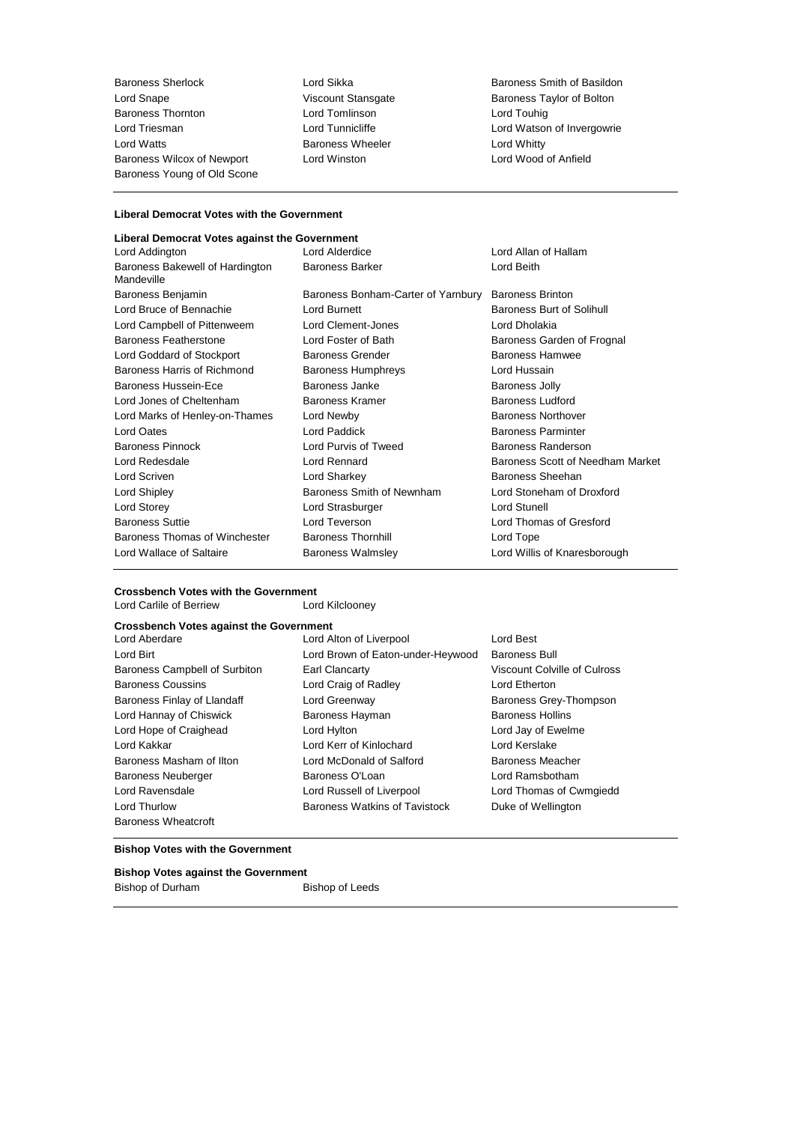Baroness Sherlock Lord Sikka Baroness Smith of Basildon Lord Snape **Viscount Stansgate** Baroness Taylor of Bolton Baroness Taylor of Bolton Baroness Thornton **Bolton** Baroness Thornton **Lord Tomlinson**<br>
Lord Triesman **Lord Tunnicliffe** Lord Watts **Baroness Wheeler** Lord Whitty Baroness Wilcox of Newport Lord Winston Lord Wood of Anfield Baroness Young of Old Scone

Lord Watson of Invergowrie

### **Liberal Democrat Votes with the Government**

### **Liberal Democrat Votes against the Government**

| Lord Addington                                | Lord Alderdice                     | Lord Allan of Hallam             |
|-----------------------------------------------|------------------------------------|----------------------------------|
| Baroness Bakewell of Hardington<br>Mandeville | <b>Baroness Barker</b>             | Lord Beith                       |
| Baroness Benjamin                             | Baroness Bonham-Carter of Yarnbury | <b>Baroness Brinton</b>          |
| Lord Bruce of Bennachie                       | Lord Burnett                       | Baroness Burt of Solihull        |
| Lord Campbell of Pittenweem                   | Lord Clement-Jones                 | Lord Dholakia                    |
| Baroness Featherstone                         | Lord Foster of Bath                | Baroness Garden of Frognal       |
| Lord Goddard of Stockport                     | <b>Baroness Grender</b>            | <b>Baroness Hamwee</b>           |
| Baroness Harris of Richmond                   | <b>Baroness Humphreys</b>          | Lord Hussain                     |
| Baroness Hussein-Ece                          | Baroness Janke                     | <b>Baroness Jolly</b>            |
| Lord Jones of Cheltenham                      | <b>Baroness Kramer</b>             | <b>Baroness Ludford</b>          |
| Lord Marks of Henley-on-Thames                | Lord Newby                         | <b>Baroness Northover</b>        |
| Lord Oates                                    | Lord Paddick                       | <b>Baroness Parminter</b>        |
| Baroness Pinnock                              | Lord Purvis of Tweed               | <b>Baroness Randerson</b>        |
| Lord Redesdale                                | <b>Lord Rennard</b>                | Baroness Scott of Needham Market |
| Lord Scriven                                  | Lord Sharkey                       | Baroness Sheehan                 |
| Lord Shipley                                  | Baroness Smith of Newnham          | Lord Stoneham of Droxford        |
| Lord Storey                                   | Lord Strasburger                   | Lord Stunell                     |
| <b>Baroness Suttie</b>                        | Lord Teverson                      | Lord Thomas of Gresford          |
| Baroness Thomas of Winchester                 | <b>Baroness Thornhill</b>          | Lord Tope                        |
| Lord Wallace of Saltaire                      | <b>Baroness Walmsley</b>           | Lord Willis of Knaresborough     |
|                                               |                                    |                                  |

### **Crossbench Votes with the Government** Lord Carlile of Berriew

| <b>Crossbench Votes against the Government</b> |                                   |                              |
|------------------------------------------------|-----------------------------------|------------------------------|
| Lord Aberdare                                  | Lord Alton of Liverpool           | Lord Best                    |
| Lord Birt                                      | Lord Brown of Eaton-under-Heywood | <b>Baroness Bull</b>         |
| Baroness Campbell of Surbiton                  | <b>Earl Clancarty</b>             | Viscount Colville of Culross |
| <b>Baroness Coussins</b>                       | Lord Craig of Radley              | Lord Etherton                |
| Baroness Finlay of Llandaff                    | Lord Greenway                     | Baroness Grey-Thompson       |
| Lord Hannay of Chiswick                        | Baroness Hayman                   | <b>Baroness Hollins</b>      |
| Lord Hope of Craighead                         | Lord Hylton                       | Lord Jay of Ewelme           |
| Lord Kakkar                                    | Lord Kerr of Kinlochard           | Lord Kerslake                |
| Baroness Masham of Ilton                       | Lord McDonald of Salford          | <b>Baroness Meacher</b>      |
| <b>Baroness Neuberger</b>                      | Baroness O'Loan                   | Lord Ramsbotham              |
| Lord Ravensdale                                | Lord Russell of Liverpool         | Lord Thomas of Cwmgiedd      |
| Lord Thurlow                                   | Baroness Watkins of Tavistock     | Duke of Wellington           |
| <b>Baroness Wheatcroft</b>                     |                                   |                              |

### **Bishop Votes with the Government**

| <b>Bishop Votes against the Government</b> |                 |  |
|--------------------------------------------|-----------------|--|
| Bishop of Durham                           | Bishop of Leeds |  |